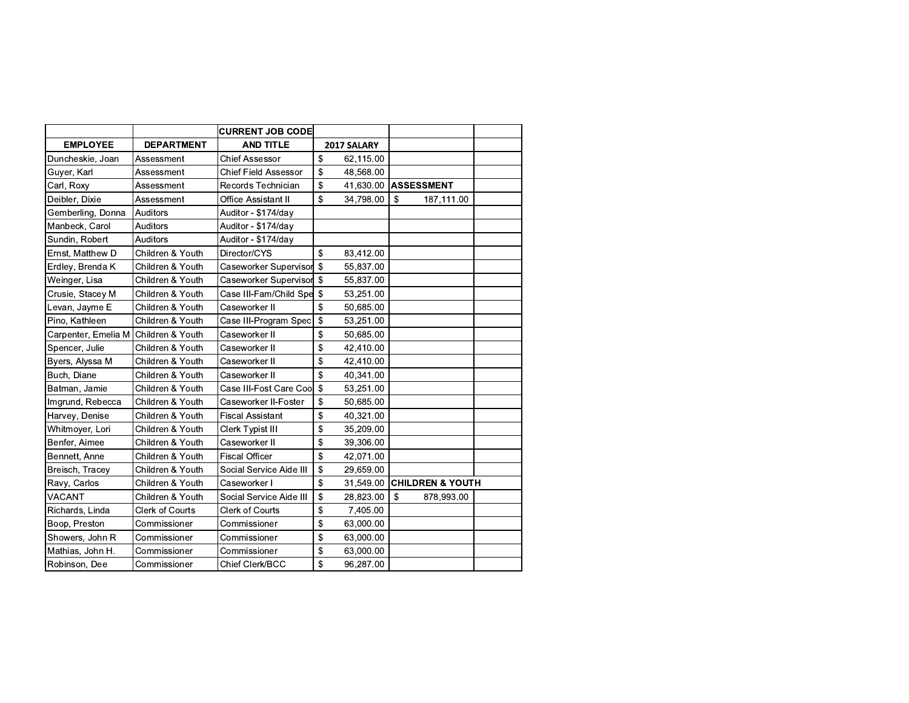|                                      |                        | <b>CURRENT JOB CODE</b>     |               |           |                   |                             |  |
|--------------------------------------|------------------------|-----------------------------|---------------|-----------|-------------------|-----------------------------|--|
| <b>EMPLOYEE</b>                      | <b>DEPARTMENT</b>      | <b>AND TITLE</b>            | 2017 SALARY   |           |                   |                             |  |
| Duncheskie, Joan                     | Assessment             | <b>Chief Assessor</b>       | \$            | 62,115.00 |                   |                             |  |
| Guyer, Karl                          | Assessment             | <b>Chief Field Assessor</b> | \$            | 48,568.00 |                   |                             |  |
| Carl, Roxy                           | Assessment             | Records Technician          | \$            | 41,630.00 | <b>ASSESSMENT</b> |                             |  |
| Deibler, Dixie                       | Assessment             | Office Assistant II         | \$            | 34,798.00 | $\sqrt{3}$        | 187,111.00                  |  |
| Gemberling, Donna                    | Auditors               | Auditor - \$174/day         |               |           |                   |                             |  |
| Manbeck, Carol                       | Auditors               | Auditor - \$174/day         |               |           |                   |                             |  |
| Sundin, Robert                       | Auditors               | Auditor - \$174/day         |               |           |                   |                             |  |
| Ernst, Matthew D                     | Children & Youth       | Director/CYS                | $\mathbf{\$}$ | 83,412.00 |                   |                             |  |
| Erdley, Brenda K                     | Children & Youth       | Caseworker Supervisor       | $\mathbf{s}$  | 55,837.00 |                   |                             |  |
| Weinger, Lisa                        | Children & Youth       | Caseworker Supervisor \$    |               | 55,837.00 |                   |                             |  |
| Crusie, Stacey M                     | Children & Youth       | Case III-Fam/Child Spe \$   |               | 53,251.00 |                   |                             |  |
| Levan, Jayme E                       | Children & Youth       | Caseworker II               | \$            | 50,685.00 |                   |                             |  |
| Pino, Kathleen                       | Children & Youth       | Case III-Program Spec       | \$            | 53,251.00 |                   |                             |  |
| Carpenter, Emelia M Children & Youth |                        | Caseworker II               | \$            | 50,685.00 |                   |                             |  |
| Spencer, Julie                       | Children & Youth       | Caseworker II               | \$            | 42,410.00 |                   |                             |  |
| Byers, Alyssa M                      | Children & Youth       | Caseworker II               | \$            | 42,410.00 |                   |                             |  |
| Buch, Diane                          | Children & Youth       | Caseworker II               | \$            | 40,341.00 |                   |                             |  |
| Batman, Jamie                        | Children & Youth       | Case III-Fost Care Coo      | \$            | 53,251.00 |                   |                             |  |
| Imgrund, Rebecca                     | Children & Youth       | Caseworker II-Foster        | \$            | 50,685.00 |                   |                             |  |
| Harvey, Denise                       | Children & Youth       | <b>Fiscal Assistant</b>     | \$            | 40,321.00 |                   |                             |  |
| Whitmoyer, Lori                      | Children & Youth       | Clerk Typist III            | \$            | 35,209.00 |                   |                             |  |
| Benfer, Aimee                        | Children & Youth       | Caseworker II               | \$            | 39,306.00 |                   |                             |  |
| Bennett, Anne                        | Children & Youth       | <b>Fiscal Officer</b>       | \$            | 42,071.00 |                   |                             |  |
| Breisch, Tracey                      | Children & Youth       | Social Service Aide III     | \$            | 29,659.00 |                   |                             |  |
| Ravy, Carlos                         | Children & Youth       | Caseworker I                | \$            | 31,549.00 |                   | <b>CHILDREN &amp; YOUTH</b> |  |
| <b>VACANT</b>                        | Children & Youth       | Social Service Aide III     | \$            | 28,823.00 | $\mathbf{\$}$     | 878,993.00                  |  |
| Richards, Linda                      | <b>Clerk of Courts</b> | Clerk of Courts             | \$            | 7,405.00  |                   |                             |  |
| Boop, Preston                        | Commissioner           | Commissioner                | \$            | 63,000.00 |                   |                             |  |
| Showers, John R                      | Commissioner           | Commissioner                | \$            | 63,000.00 |                   |                             |  |
| Mathias, John H.                     | Commissioner           | Commissioner                | \$            | 63,000.00 |                   |                             |  |
| Robinson, Dee                        | Commissioner           | Chief Clerk/BCC             | \$            | 96,287.00 |                   |                             |  |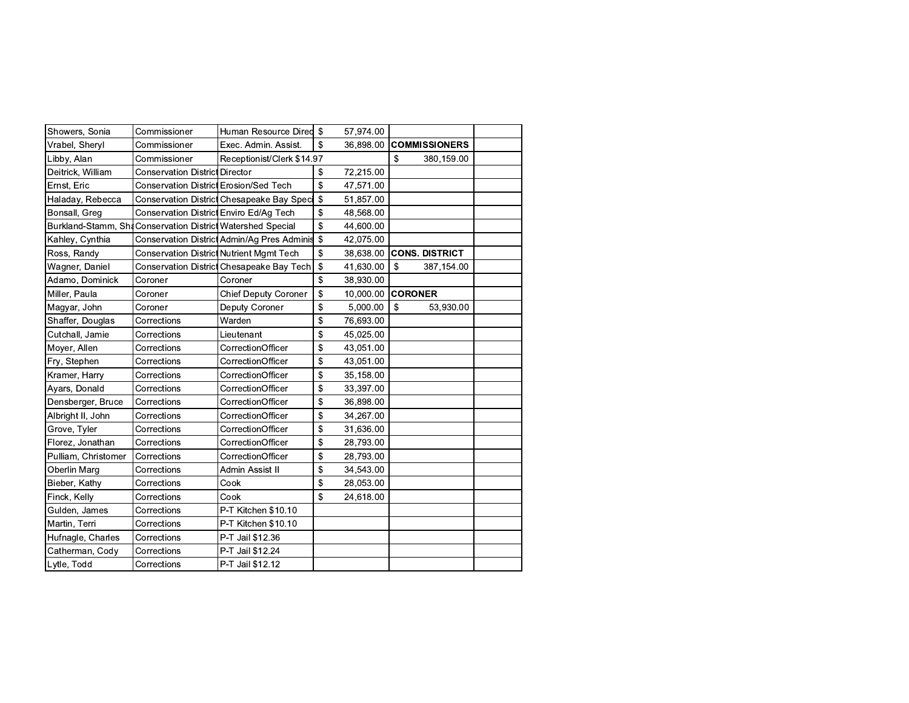| Showers, Sonia                                              | Commissioner                                    | Human Resource Dired \$                       |                           | 57,974.00 |                       |  |
|-------------------------------------------------------------|-------------------------------------------------|-----------------------------------------------|---------------------------|-----------|-----------------------|--|
| Vrabel, Sheryl                                              | Commissioner                                    | Exec. Admin. Assist.                          | \$                        | 36.898.00 | <b>COMMISSIONERS</b>  |  |
| Libby, Alan                                                 | Commissioner                                    | Receptionist/Clerk \$14.97                    |                           |           | \$<br>380,159.00      |  |
| Deitrick, William                                           | <b>Conservation District Director</b>           |                                               | \$                        | 72,215.00 |                       |  |
| Ernst, Eric                                                 | <b>Conservation District Erosion/Sed Tech</b>   |                                               | $\mathfrak{s}$            | 47,571.00 |                       |  |
| Haladay, Rebecca                                            |                                                 | Conservation District Chesapeake Bay Spect \$ |                           | 51,857.00 |                       |  |
| Bonsall, Greg                                               | Conservation District Enviro Ed/Ag Tech         |                                               | $\mathfrak{s}$            | 48,568.00 |                       |  |
| Burkland-Stamm, Shi Conservation District Watershed Special |                                                 |                                               | \$                        | 44,600.00 |                       |  |
| Kahley, Cynthia                                             |                                                 | Conservation District Admin/Ag Pres Adminis   | $\mathbf{s}$              | 42,075.00 |                       |  |
| Ross, Randy                                                 | <b>Conservation District Nutrient Mgmt Tech</b> |                                               | \$                        | 38,638.00 | <b>CONS. DISTRICT</b> |  |
| Wagner, Daniel                                              |                                                 | Conservation District Chesapeake Bay Tech     | \$                        | 41,630.00 | \$<br>387,154.00      |  |
| Adamo, Dominick                                             | Coroner                                         | Coroner                                       | \$                        | 38,930.00 |                       |  |
| Miller, Paula                                               | Coroner                                         | <b>Chief Deputy Coroner</b>                   | \$                        | 10,000.00 | <b>CORONER</b>        |  |
| Magyar, John                                                | Coroner                                         | Deputy Coroner                                | \$                        | 5,000.00  | \$<br>53,930.00       |  |
| Shaffer, Douglas                                            | Corrections                                     | Warden                                        | \$                        | 76,693.00 |                       |  |
| Cutchall, Jamie                                             | Corrections                                     | Lieutenant                                    | \$                        | 45,025.00 |                       |  |
| Moyer, Allen                                                | Corrections                                     | CorrectionOfficer                             | \$                        | 43,051.00 |                       |  |
| Fry, Stephen                                                | Corrections                                     | CorrectionOfficer                             | $\boldsymbol{\mathsf{S}}$ | 43,051.00 |                       |  |
| Kramer, Harry                                               | Corrections                                     | CorrectionOfficer                             | \$                        | 35,158.00 |                       |  |
| Ayars, Donald                                               | Corrections                                     | CorrectionOfficer                             | \$                        | 33,397.00 |                       |  |
| Densberger, Bruce                                           | Corrections                                     | CorrectionOfficer                             | $\mathfrak{s}$            | 36,898.00 |                       |  |
| Albright II, John                                           | Corrections                                     | CorrectionOfficer                             | \$                        | 34,267.00 |                       |  |
| Grove, Tyler                                                | Corrections                                     | CorrectionOfficer                             | $\mathfrak{s}$            | 31,636.00 |                       |  |
| Florez, Jonathan                                            | Corrections                                     | CorrectionOfficer                             | \$                        | 28,793.00 |                       |  |
| Pulliam, Christomer                                         | Corrections                                     | CorrectionOfficer                             | $\boldsymbol{\mathsf{S}}$ | 28,793.00 |                       |  |
| Oberlin Marg                                                | Corrections                                     | Admin Assist II                               | \$                        | 34,543.00 |                       |  |
| Bieber, Kathy                                               | Corrections                                     | Cook                                          | \$                        | 28,053.00 |                       |  |
| Finck, Kelly                                                | Corrections                                     | Cook                                          | $\mathbf S$               | 24,618.00 |                       |  |
| Gulden, James                                               | Corrections                                     | P-T Kitchen \$10.10                           |                           |           |                       |  |
| Martin, Terri                                               | Corrections                                     | P-T Kitchen \$10.10                           |                           |           |                       |  |
| Hufnagle, Charles                                           | Corrections                                     | P-T Jail \$12.36                              |                           |           |                       |  |
| Catherman, Cody                                             | Corrections                                     | P-T Jail \$12.24                              |                           |           |                       |  |
| Lytle, Todd                                                 | Corrections                                     | P-T Jail \$12.12                              |                           |           |                       |  |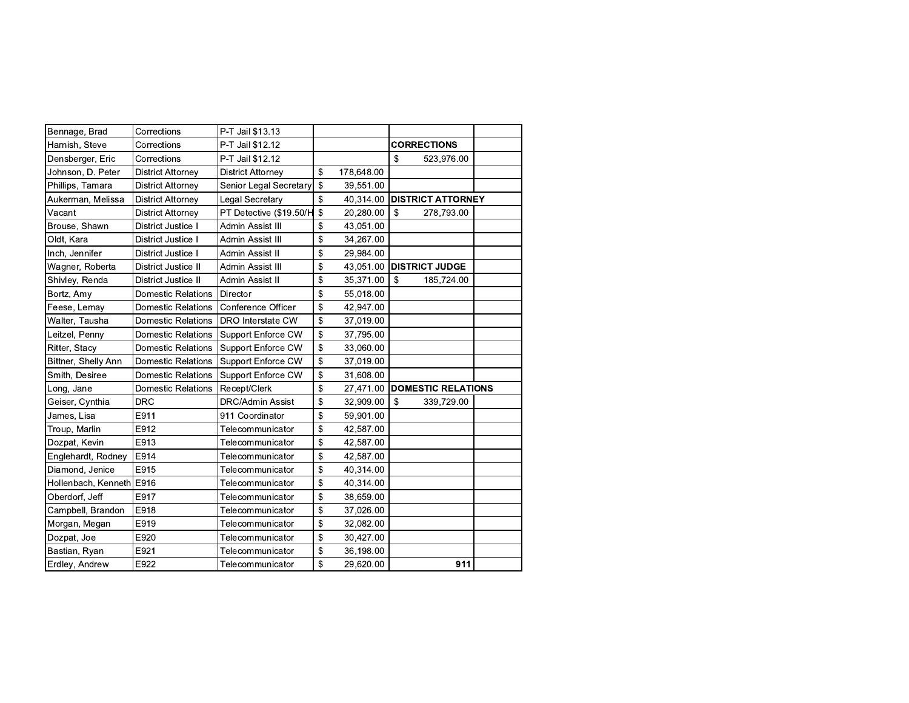| Bennage, Brad            | Corrections               | P-T Jail \$13.13         |                  |                           |                           |  |
|--------------------------|---------------------------|--------------------------|------------------|---------------------------|---------------------------|--|
| Harnish, Steve           | Corrections               | P-T Jail \$12.12         |                  |                           | <b>CORRECTIONS</b>        |  |
| Densberger, Eric         | Corrections               | P-T Jail \$12.12         |                  | $\boldsymbol{\mathsf{S}}$ | 523,976.00                |  |
| Johnson, D. Peter        | <b>District Attorney</b>  | <b>District Attorney</b> | \$<br>178,648.00 |                           |                           |  |
| Phillips, Tamara         | <b>District Attorney</b>  | Senior Legal Secretary   | \$<br>39,551.00  |                           |                           |  |
| Aukerman, Melissa        | <b>District Attorney</b>  | Legal Secretary          | \$<br>40,314.00  |                           | <b>DISTRICT ATTORNEY</b>  |  |
| Vacant                   | District Attorney         | PT Detective (\$19.50/H  | \$<br>20,280.00  | $\mathfrak{s}$            | 278,793.00                |  |
| Brouse, Shawn            | District Justice I        | Admin Assist III         | \$<br>43,051.00  |                           |                           |  |
| Oldt, Kara               | District Justice I        | Admin Assist III         | \$<br>34,267.00  |                           |                           |  |
| Inch, Jennifer           | District Justice I        | Admin Assist II          | \$<br>29,984.00  |                           |                           |  |
| Wagner, Roberta          | District Justice II       | Admin Assist III         | \$<br>43,051.00  |                           | <b>DISTRICT JUDGE</b>     |  |
| Shivley, Renda           | District Justice II       | Admin Assist II          | \$<br>35,371.00  | $\mathbf{\hat{S}}$        | 185,724.00                |  |
| Bortz, Amy               | Domestic Relations        | Director                 | \$<br>55,018.00  |                           |                           |  |
| Feese, Lemay             | <b>Domestic Relations</b> | Conference Officer       | \$<br>42,947.00  |                           |                           |  |
| Walter, Tausha           | Domestic Relations        | <b>DRO</b> Interstate CW | \$<br>37,019.00  |                           |                           |  |
| Leitzel, Penny           | Domestic Relations        | Support Enforce CW       | \$<br>37,795.00  |                           |                           |  |
| Ritter, Stacy            | <b>Domestic Relations</b> | Support Enforce CW       | \$<br>33,060.00  |                           |                           |  |
| Bittner, Shelly Ann      | <b>Domestic Relations</b> | Support Enforce CW       | \$<br>37,019.00  |                           |                           |  |
| Smith, Desiree           | <b>Domestic Relations</b> | Support Enforce CW       | \$<br>31,608.00  |                           |                           |  |
| Long, Jane               | Domestic Relations        | Recept/Clerk             | \$<br>27,471.00  |                           | <b>DOMESTIC RELATIONS</b> |  |
| Geiser, Cynthia          | <b>DRC</b>                | <b>DRC/Admin Assist</b>  | \$<br>32,909.00  | $\mathbf{\$}$             | 339,729.00                |  |
| James, Lisa              | E911                      | 911 Coordinator          | \$<br>59,901.00  |                           |                           |  |
| Troup, Marlin            | E912                      | Telecommunicator         | \$<br>42,587.00  |                           |                           |  |
| Dozpat, Kevin            | E913                      | Telecommunicator         | \$<br>42,587.00  |                           |                           |  |
| Englehardt, Rodney       | E914                      | Telecommunicator         | \$<br>42,587.00  |                           |                           |  |
| Diamond, Jenice          | E915                      | Telecommunicator         | \$<br>40,314.00  |                           |                           |  |
| Hollenbach, Kenneth E916 |                           | Telecommunicator         | \$<br>40,314.00  |                           |                           |  |
| Oberdorf, Jeff           | E917                      | Telecommunicator         | \$<br>38,659.00  |                           |                           |  |
| Campbell, Brandon        | E918                      | Telecommunicator         | \$<br>37,026.00  |                           |                           |  |
| Morgan, Megan            | E919                      | Telecommunicator         | \$<br>32,082.00  |                           |                           |  |
| Dozpat, Joe              | E920                      | Telecommunicator         | \$<br>30,427.00  |                           |                           |  |
| Bastian, Ryan            | E921                      | Telecommunicator         | \$<br>36,198.00  |                           |                           |  |
| Erdley, Andrew           | E922                      | Telecommunicator         | \$<br>29,620.00  |                           | 911                       |  |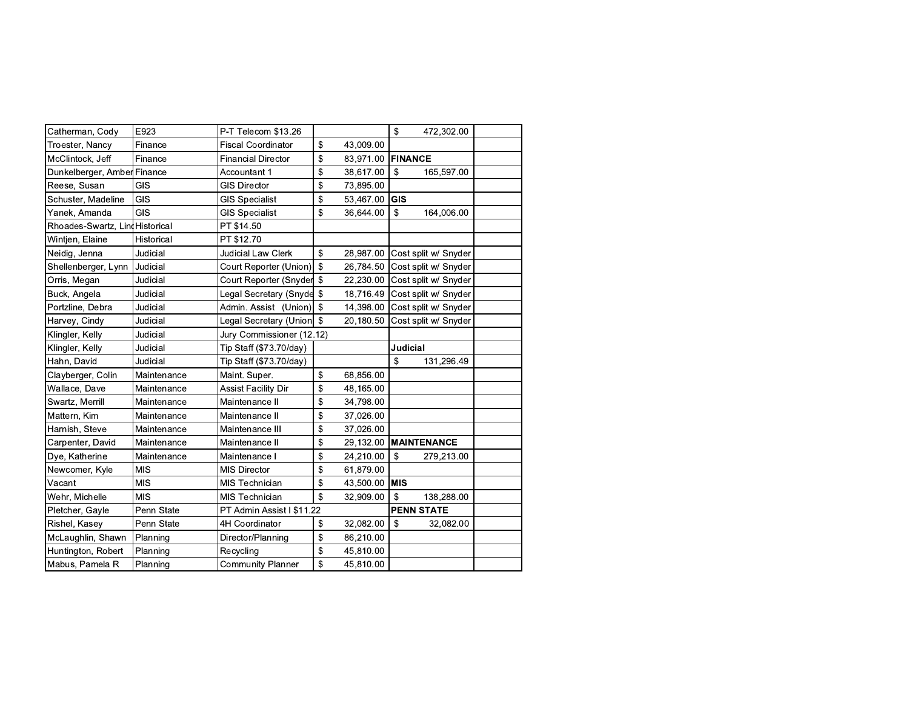| Catherman, Cody                 | E923        | P-T Telecom \$13.26         |            |           | $\mathsf{\$}$<br>472,302.00  |
|---------------------------------|-------------|-----------------------------|------------|-----------|------------------------------|
| Troester, Nancy                 | Finance     | <b>Fiscal Coordinator</b>   | \$         | 43,009.00 |                              |
| McClintock, Jeff                | Finance     | <b>Financial Director</b>   | \$         | 83,971.00 | <b>FINANCE</b>               |
| Dunkelberger, Amber Finance     |             | Accountant 1                | \$         | 38,617.00 | \$<br>165,597.00             |
| Reese, Susan                    | <b>GIS</b>  | <b>GIS Director</b>         | \$         | 73,895.00 |                              |
| Schuster, Madeline              | GIS         | <b>GIS Specialist</b>       | \$         | 53,467.00 | <b>GIS</b>                   |
| Yanek, Amanda                   | <b>GIS</b>  | <b>GIS Specialist</b>       | \$         | 36,644.00 | \$<br>164,006.00             |
| Rhoades-Swartz, Lini Historical |             | PT \$14.50                  |            |           |                              |
| Wintjen, Elaine                 | Historical  | PT \$12.70                  |            |           |                              |
| Neidig, Jenna                   | Judicial    | Judicial Law Clerk          | \$         | 28,987.00 | Cost split w/ Snyder         |
| Shellenberger, Lynn             | Judicial    | Court Reporter (Union)      | $\sqrt{3}$ | 26,784.50 | Cost split w/ Snyder         |
| Orris, Megan                    | Judicial    | Court Reporter (Snyder \$   |            | 22,230.00 | Cost split w/ Snyder         |
| Buck, Angela                    | Judicial    | Legal Secretary (Snyde \$   |            | 18,716.49 | Cost split w/ Snyder         |
| Portzline, Debra                | Judicial    | Admin. Assist (Union) \$    |            | 14,398.00 | Cost split w/ Snyder         |
| Harvey, Cindy                   | Judicial    | Legal Secretary (Union   \$ |            | 20,180.50 | Cost split w/ Snyder         |
| Klingler, Kelly                 | Judicial    | Jury Commissioner (12.12)   |            |           |                              |
| Klingler, Kelly                 | Judicial    | Tip Staff (\$73.70/day)     |            |           | <b>Judicial</b>              |
| Hahn, David                     | Judicial    | Tip Staff (\$73.70/day)     |            |           | \$<br>131,296.49             |
| Clayberger, Colin               | Maintenance | Maint. Super.               | \$         | 68,856.00 |                              |
| Wallace, Dave                   | Maintenance | Assist Facility Dir         | \$         | 48,165.00 |                              |
| Swartz, Merrill                 | Maintenance | Maintenance II              | \$         | 34,798.00 |                              |
| Mattern, Kim                    | Maintenance | Maintenance II              | \$         | 37,026.00 |                              |
| Harnish, Steve                  | Maintenance | Maintenance III             | \$         | 37,026.00 |                              |
| Carpenter, David                | Maintenance | Maintenance II              | \$         | 29,132.00 | <b>MAINTENANCE</b>           |
| Dye, Katherine                  | Maintenance | Maintenance I               | \$         | 24,210.00 | $\sqrt{2}$<br>279,213.00     |
| Newcomer, Kyle                  | <b>MIS</b>  | <b>MIS Director</b>         | \$         | 61,879.00 |                              |
| Vacant                          | <b>MIS</b>  | <b>MIS Technician</b>       | \$         | 43,500.00 | <b>MIS</b>                   |
| Wehr, Michelle                  | <b>MIS</b>  | <b>MIS Technician</b>       | \$         | 32,909.00 | $\mathfrak{L}$<br>138,288.00 |
| Pletcher, Gayle                 | Penn State  | PT Admin Assist I \$11.22   |            |           | <b>PENN STATE</b>            |
| Rishel, Kasey                   | Penn State  | 4H Coordinator              | \$         | 32,082.00 | \$<br>32,082.00              |
| McLaughlin, Shawn               | Planning    | Director/Planning           | \$         | 86,210.00 |                              |
| Huntington, Robert              | Planning    | Recycling                   | \$         | 45,810.00 |                              |
| Mabus, Pamela R                 | Planning    | <b>Community Planner</b>    | \$         | 45,810.00 |                              |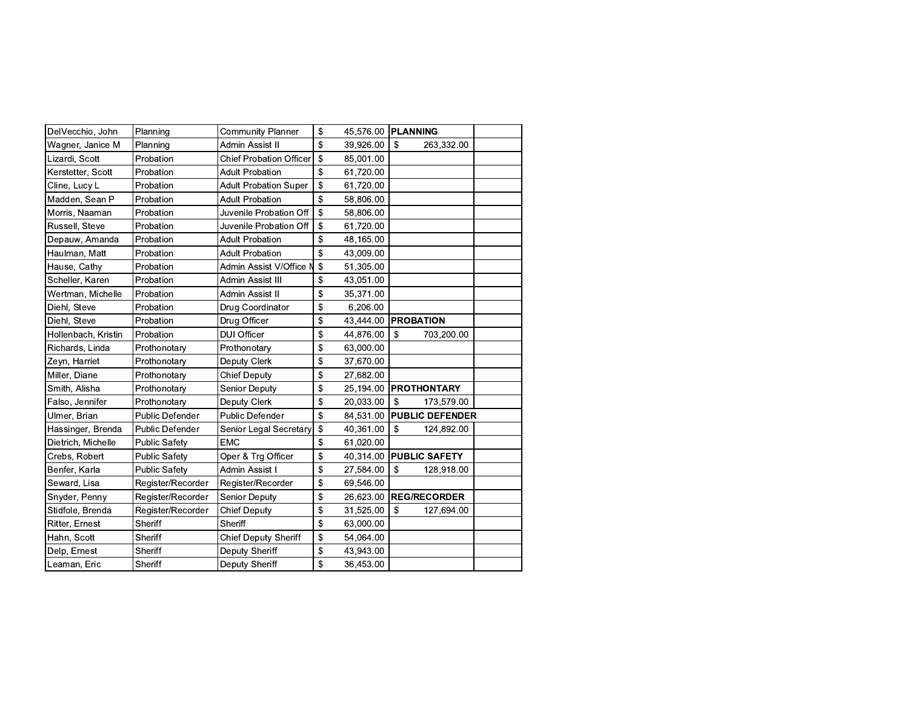| DelVecchio, John    | Planning             | <b>Community Planner</b>       | \$<br>45,576.00 | <b>IPLANNING</b>     |                        |  |
|---------------------|----------------------|--------------------------------|-----------------|----------------------|------------------------|--|
| Wagner, Janice M    | Planning             | Admin Assist II                | \$<br>39,926.00 | \$                   | 263,332.00             |  |
| Lizardi, Scott      | Probation            | <b>Chief Probation Officer</b> | \$<br>85,001.00 |                      |                        |  |
| Kerstetter, Scott   | Probation            | <b>Adult Probation</b>         | \$<br>61,720.00 |                      |                        |  |
| Cline, Lucy L       | Probation            | <b>Adult Probation Super</b>   | \$<br>61,720.00 |                      |                        |  |
| Madden, Sean P      | Probation            | <b>Adult Probation</b>         | \$<br>58,806.00 |                      |                        |  |
| Morris, Naaman      | Probation            | Juvenile Probation Off         | \$<br>58,806.00 |                      |                        |  |
| Russell, Steve      | Probation            | Juvenile Probation Off         | \$<br>61,720.00 |                      |                        |  |
| Depauw, Amanda      | Probation            | <b>Adult Probation</b>         | \$<br>48,165.00 |                      |                        |  |
| Haulman, Matt       | Probation            | <b>Adult Probation</b>         | \$<br>43,009.00 |                      |                        |  |
| Hause, Cathy        | Probation            | Admin Assist V/Office N        | \$<br>51,305.00 |                      |                        |  |
| Scheller, Karen     | Probation            | Admin Assist III               | \$<br>43,051.00 |                      |                        |  |
| Wertman, Michelle   | Probation            | Admin Assist II                | \$<br>35,371.00 |                      |                        |  |
| Diehl, Steve        | Probation            | Drug Coordinator               | \$<br>6,206.00  |                      |                        |  |
| Diehl, Steve        | Probation            | Drug Officer                   | \$<br>43,444.00 | <b>PROBATION</b>     |                        |  |
| Hollenbach, Kristin | Probation            | <b>DUI Officer</b>             | \$<br>44,876.00 | \$                   | 703,200.00             |  |
| Richards, Linda     | Prothonotary         | Prothonotary                   | \$<br>63,000.00 |                      |                        |  |
| Zeyn, Harriet       | Prothonotary         | Deputy Clerk                   | \$<br>37,670.00 |                      |                        |  |
| Miller, Diane       | Prothonotary         | <b>Chief Deputy</b>            | \$<br>27,682.00 |                      |                        |  |
| Smith, Alisha       | Prothonotary         | <b>Senior Deputy</b>           | \$<br>25,194.00 | <b>PROTHONTARY</b>   |                        |  |
| Falso, Jennifer     | Prothonotary         | Deputy Clerk                   | \$<br>20,033.00 | $\mathsf{\$}$        | 173,579.00             |  |
| Ulmer, Brian        | Public Defender      | Public Defender                | \$<br>84,531.00 |                      | <b>PUBLIC DEFENDER</b> |  |
| Hassinger, Brenda   | Public Defender      | Senior Legal Secretary         | \$<br>40,361.00 | \$                   | 124,892.00             |  |
| Dietrich, Michelle  | <b>Public Safety</b> | <b>EMC</b>                     | \$<br>61,020.00 |                      |                        |  |
| Crebs, Robert       | <b>Public Safety</b> | Oper & Trg Officer             | \$<br>40,314.00 | <b>PUBLIC SAFETY</b> |                        |  |
| Benfer, Karla       | <b>Public Safety</b> | Admin Assist                   | \$<br>27,584.00 | \$                   | 128,918.00             |  |
| Seward, Lisa        | Register/Recorder    | Register/Recorder              | \$<br>69,546.00 |                      |                        |  |
| Snyder, Penny       | Register/Recorder    | <b>Senior Deputy</b>           | \$<br>26,623.00 | <b>REG/RECORDER</b>  |                        |  |
| Stidfole, Brenda    | Register/Recorder    | <b>Chief Deputy</b>            | \$<br>31,525.00 | \$                   | 127,694.00             |  |
| Ritter, Ernest      | Sheriff              | Sheriff                        | \$<br>63,000.00 |                      |                        |  |
| Hahn, Scott         | Sheriff              | <b>Chief Deputy Sheriff</b>    | \$<br>54,064.00 |                      |                        |  |
| Delp, Ernest        | Sheriff              | Deputy Sheriff                 | \$<br>43,943.00 |                      |                        |  |
| Leaman, Eric        | Sheriff              | Deputy Sheriff                 | \$<br>36,453.00 |                      |                        |  |